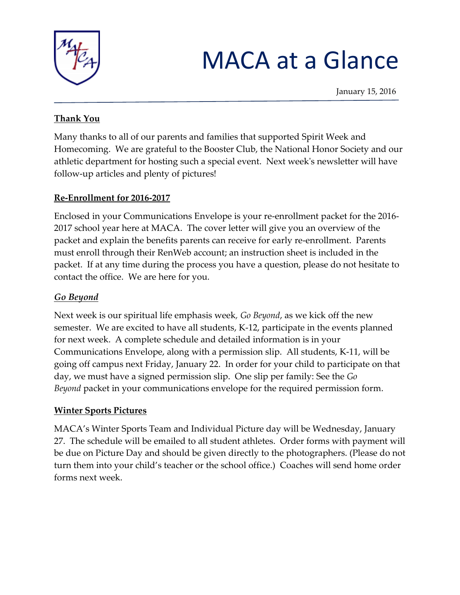

# MACA at a Glance

#### **Thank You**

Many thanks to all of our parents and families that supported Spirit Week and Homecoming. We are grateful to the Booster Club, the National Honor Society and our athletic department for hosting such a special event. Next week's newsletter will have follow-up articles and plenty of pictures!

#### **Re-Enrollment for 2016-2017**

Enclosed in your Communications Envelope is your re-enrollment packet for the 2016- 2017 school year here at MACA. The cover letter will give you an overview of the packet and explain the benefits parents can receive for early re-enrollment. Parents must enroll through their RenWeb account; an instruction sheet is included in the packet. If at any time during the process you have a question, please do not hesitate to contact the office. We are here for you.

## *Go Beyond*

Next week is our spiritual life emphasis week*, Go Beyond*, as we kick off the new semester. We are excited to have all students, K-12, participate in the events planned for next week. A complete schedule and detailed information is in your Communications Envelope, along with a permission slip. All students, K-11, will be going off campus next Friday, January 22. In order for your child to participate on that day, we must have a signed permission slip. One slip per family: See the *Go Beyond* packet in your communications envelope for the required permission form.

## **Winter Sports Pictures**

MACA's Winter Sports Team and Individual Picture day will be Wednesday, January 27. The schedule will be emailed to all student athletes. Order forms with payment will be due on Picture Day and should be given directly to the photographers. (Please do not turn them into your child's teacher or the school office.) Coaches will send home order forms next week.